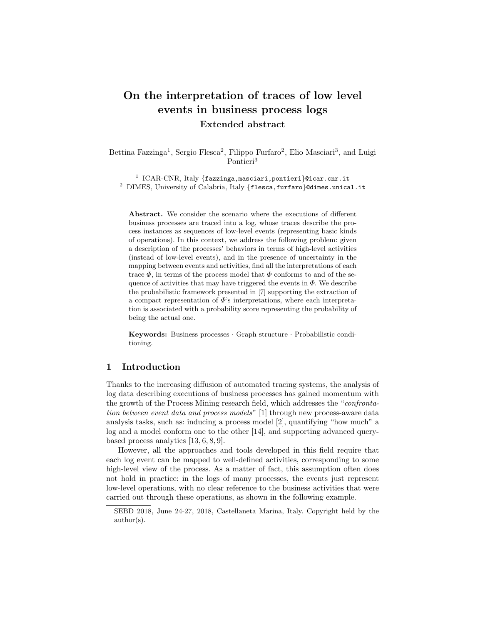# On the interpretation of traces of low level events in business process logs Extended abstract

Bettina Fazzinga<sup>1</sup>, Sergio Flesca<sup>2</sup>, Filippo Furfaro<sup>2</sup>, Elio Masciari<sup>3</sup>, and Luigi Pontieri<sup>3</sup>

<sup>1</sup> ICAR-CNR, Italy {fazzinga,masciari,pontieri}@icar.cnr.it <sup>2</sup> DIMES, University of Calabria, Italy {flesca,furfaro}@dimes.unical.it

Abstract. We consider the scenario where the executions of different business processes are traced into a log, whose traces describe the process instances as sequences of low-level events (representing basic kinds of operations). In this context, we address the following problem: given a description of the processes' behaviors in terms of high-level activities (instead of low-level events), and in the presence of uncertainty in the mapping between events and activities, find all the interpretations of each trace  $\Phi$ , in terms of the process model that  $\Phi$  conforms to and of the sequence of activities that may have triggered the events in  $\Phi$ . We describe the probabilistic framework presented in [7] supporting the extraction of a compact representation of  $\Phi$ 's interpretations, where each interpretation is associated with a probability score representing the probability of being the actual one.

Keywords: Business processes · Graph structure · Probabilistic conditioning.

## 1 Introduction

Thanks to the increasing diffusion of automated tracing systems, the analysis of log data describing executions of business processes has gained momentum with the growth of the Process Mining research field, which addresses the "*confrontation between event data and process models*" [1] through new process-aware data analysis tasks, such as: inducing a process model [2], quantifying "how much" a log and a model conform one to the other [14], and supporting advanced querybased process analytics [13, 6, 8, 9].

However, all the approaches and tools developed in this field require that each log event can be mapped to well-defined activities, corresponding to some high-level view of the process. As a matter of fact, this assumption often does not hold in practice: in the logs of many processes, the events just represent low-level operations, with no clear reference to the business activities that were carried out through these operations, as shown in the following example.

SEBD 2018, June 24-27, 2018, Castellaneta Marina, Italy. Copyright held by the author(s).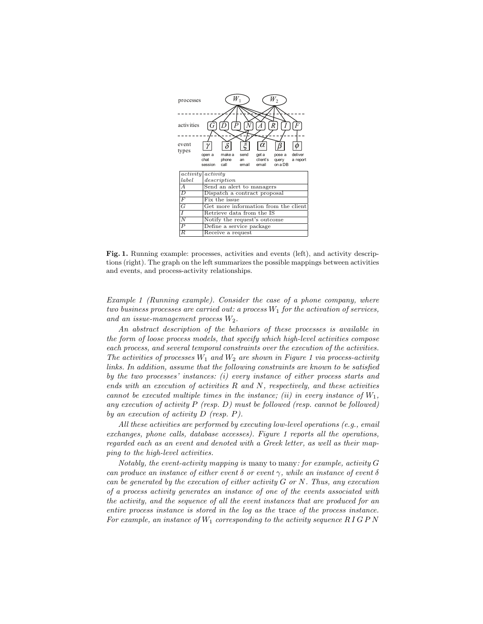

Fig. 1. Running example: processes, activities and events (left), and activity descriptions (right). The graph on the left summarizes the possible mappings between activities and events, and process-activity relationships.

*Example 1 (Running example). Consider the case of a phone company, where two business processes are carried out: a process*  $W_1$  *for the activation of services, and an issue-management process* W2*.*

*An abstract description of the behaviors of these processes is available in the form of loose process models, that specify which high-level activities compose each process, and several temporal constraints over the execution of the activities. The activities of processes*  $W_1$  *and*  $W_2$  *are shown in Figure 1 via process-activity links. In addition, assume that the following constraints are known to be satisfied by the two processes' instances: (i) every instance of either process starts and ends with an execution of activities* R *and* N*, respectively, and these activities cannot be executed multiple times in the instance; (ii) in every instance of*  $W_1$ , *any execution of activity* P *(resp.* D*) must be followed (resp. cannot be followed) by an execution of activity* D *(resp.* P*).*

*All these activities are performed by executing low-level operations (e.g., email exchanges, phone calls, database accesses). Figure 1 reports all the operations, regarded each as an event and denoted with a Greek letter, as well as their mapping to the high-level activities.*

*Notably, the event-activity mapping is* many to many*: for example, activity* G *can produce an instance of either event* δ *or event* γ*, while an instance of event* δ *can be generated by the execution of either activity* G *or* N*. Thus, any execution of a process activity generates an instance of one of the events associated with the activity, and the sequence of all the event instances that are produced for an entire process instance is stored in the log as the* trace *of the process instance.* For example, an instance of  $W_1$  corresponding to the activity sequence  $R \, I \, G \, P \, N$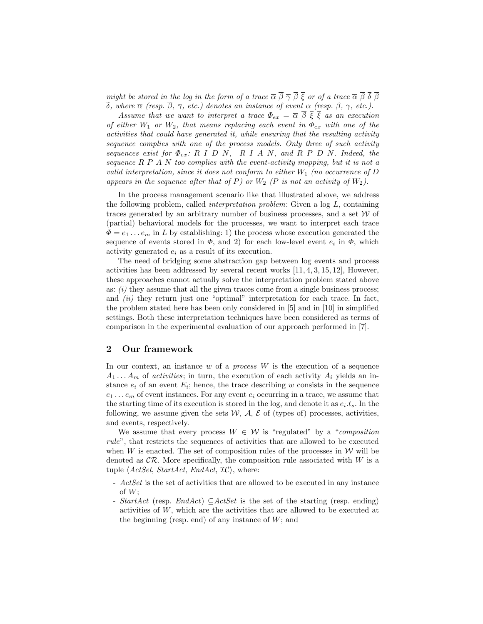*might be stored in the log in the form of a trace*  $\overline{\alpha} \overline{\beta} \overline{\gamma} \overline{\beta} \overline{\xi}$  *or of a trace*  $\overline{\alpha} \overline{\beta} \overline{\delta} \overline{\beta}$  $\overline{\delta}$ *, where*  $\overline{\alpha}$  *(resp.*  $\overline{\beta}$ *,*  $\overline{\gamma}$ *, etc.)* denotes an instance of event  $\alpha$  *(resp.*  $\beta$ *,*  $\gamma$ *, etc.).* 

*Assume that we want to interpret a trace*  $\Phi_{ex} = \overline{\alpha} \overline{\beta} \overline{\xi} \overline{\xi}$  *as an execution of either* W<sup>1</sup> *or* W2*, that means replacing each event in* Φex *with one of the activities that could have generated it, while ensuring that the resulting activity sequence complies with one of the process models. Only three of such activity sequences exist for*  $\Phi_{ex}: R I D N$ ,  $R I A N$ , and  $R P D N$ . Indeed, the *sequence* R P A N *too complies with the event-activity mapping, but it is not a valid interpretation, since it does not conform to either*  $W_1$  *(no occurrence of*  $D$ appears in the sequence after that of P) or  $W_2$  (P is not an activity of  $W_2$ ).

In the process management scenario like that illustrated above, we address the following problem, called *interpretation problem*: Given a log L, containing traces generated by an arbitrary number of business processes, and a set  $W$  of (partial) behavioral models for the processes, we want to interpret each trace  $\Phi = e_1 \dots e_m$  in L by establishing: 1) the process whose execution generated the sequence of events stored in  $\Phi$ , and 2) for each low-level event  $e_i$  in  $\Phi$ , which activity generated  $e_i$  as a result of its execution.

The need of bridging some abstraction gap between log events and process activities has been addressed by several recent works [11, 4, 3, 15, 12], However, these approaches cannot actually solve the interpretation problem stated above as: *(i)* they assume that all the given traces come from a single business process; and *(ii)* they return just one "optimal" interpretation for each trace. In fact, the problem stated here has been only considered in [5] and in [10] in simplified settings. Both these interpretation techniques have been considered as terms of comparison in the experimental evaluation of our approach performed in [7].

#### 2 Our framework

In our context, an instance w of a *process* W is the execution of a sequence  $A_1 \ldots A_m$  of *activities*; in turn, the execution of each activity  $A_i$  yields an instance  $e_i$  of an event  $E_i$ ; hence, the trace describing w consists in the sequence  $e_1 \ldots e_m$  of event instances. For any event  $e_i$  occurring in a trace, we assume that the starting time of its execution is stored in the log, and denote it as  $e_i \cdot t_s$ . In the following, we assume given the sets  $W$ ,  $A$ ,  $E$  of (types of) processes, activities, and events, respectively.

We assume that every process  $W \in \mathcal{W}$  is "regulated" by a "*composition rule*", that restricts the sequences of activities that are allowed to be executed when W is enacted. The set of composition rules of the processes in  $W$  will be denoted as  $\mathcal{CR}$ . More specifically, the composition rule associated with W is a tuple  $\langle ActSet, StartAct, EndAct, IC \rangle$ , where:

- *ActSet* is the set of activities that are allowed to be executed in any instance of W;
- *StartAct* (resp. *EndAct*) ⊆*ActSet* is the set of the starting (resp. ending) activities of W, which are the activities that are allowed to be executed at the beginning (resp. end) of any instance of  $W$ ; and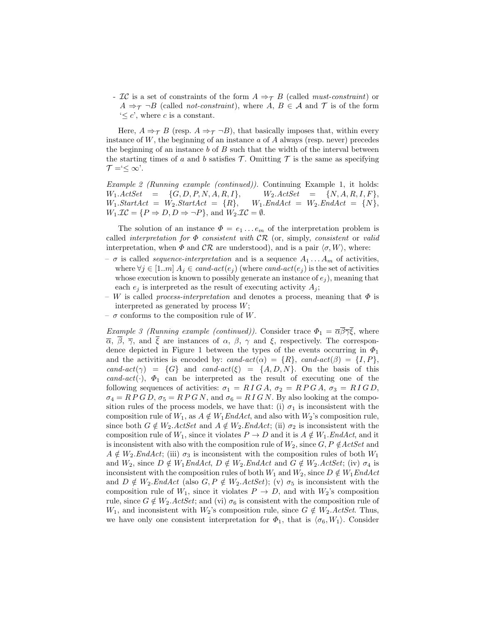- IC is a set of constraints of the form  $A \Rightarrow_{\mathcal{T}} B$  (called *must-constraint*) or  $A \Rightarrow_{\mathcal{T}} \neg B$  (called *not-constraint*), where  $A, B \in \mathcal{A}$  and  $\mathcal{T}$  is of the form  $\leq c'$ , where c is a constant.

Here,  $A \Rightarrow_{\mathcal{T}} B$  (resp.  $A \Rightarrow_{\mathcal{T}} \neg B$ ), that basically imposes that, within every instance of  $W$ , the beginning of an instance  $a$  of  $A$  always (resp. never) precedes the beginning of an instance b of  $B$  such that the width of the interval between the starting times of a and b satisfies  $\mathcal T$ . Omitting  $\mathcal T$  is the same as specifying  $\mathcal{T} = \leq \infty$ .

*Example 2 (Running example (continued)).* Continuing Example 1, it holds:  $W_1. ActSet$  = {G, D, P, N, A, R, I},  $W_2. ActSet$  = {N, A, R, I, F},<br> $W_1. StartAct$  =  $W_2. StartAct$  = {R},  $W_1. EndAct$  =  $W_2. EndAct$  = {N},  $W_1$ *.StartAct* =  $W_2$ *.StartAct* =  $\{R\}$ ,  $W_1 \mathcal{IC} = \{ P \Rightarrow D, D \Rightarrow \neg P \}$ , and  $W_2 \mathcal{IC} = \emptyset$ .

The solution of an instance  $\Phi = e_1 \dots e_m$  of the interpretation problem is called *interpretation for* Φ *consistent with* CR (or, simply, *consistent* or *valid* interpretation, when  $\Phi$  and  $\mathcal{CR}$  are understood), and is a pair  $\langle \sigma, W \rangle$ , where:

- $-\sigma$  is called *sequence-interpretation* and is a sequence  $A_1 \ldots A_m$  of activities, where  $\forall j \in [1..m]$   $A_j \in cand-act(e_j)$  (where *cand-act*( $e_j$ ) is the set of activities whose execution is known to possibly generate an instance of  $e_i$ ), meaning that each  $e_i$  is interpreted as the result of executing activity  $A_i$ ;
- $-$  W is called *process-interpretation* and denotes a process, meaning that  $\Phi$  is interpreted as generated by process W;
- $\sigma$  conforms to the composition rule of W.

*Example 3 (Running example (continued)).* Consider trace  $\Phi_1 = \overline{\alpha} \overline{\beta} \overline{\gamma} \overline{\xi}$ , where  $\overline{\alpha}$ ,  $\overline{\beta}$ ,  $\overline{\gamma}$ , and  $\overline{\xi}$  are instances of  $\alpha$ ,  $\beta$ ,  $\gamma$  and  $\xi$ , respectively. The correspondence depicted in Figure 1 between the types of the events occurring in  $\Phi_1$ and the activities is encoded by:  $cand\text{-}act(\alpha) = \{R\}$ ,  $cand\text{-}act(\beta) = \{I, P\}$ , *cand-act*( $\gamma$ ) = {G} and *cand-act*( $\xi$ ) = {A, D, N}. On the basis of this  $cand-\textit{act}(\cdot)$ ,  $\Phi_1$  can be interpreted as the result of executing one of the following sequences of activities:  $\sigma_1 = R \, I \, G \, A$ ,  $\sigma_2 = R \, P \, G \, A$ ,  $\sigma_3 = R \, I \, G \, D$ ,  $\sigma_4 = R P G D$ ,  $\sigma_5 = R P G N$ , and  $\sigma_6 = R I G N$ . By also looking at the composition rules of the process models, we have that: (i)  $\sigma_1$  is inconsistent with the composition rule of  $W_1$ , as  $A \notin W_1EndAct$ , and also with  $W_2$ 's composition rule, since both  $G \notin W_2$ . ActSet and  $A \notin W_2$ . EndAct; (ii)  $\sigma_2$  is inconsistent with the composition rule of  $W_1$ , since it violates  $P \to D$  and it is  $A \notin W_1$ . *EndAct*, and it is inconsistent with also with the composition rule of  $W_2$ , since  $G, P \notin \text{ActSet}$  and  $A \notin W_2$ *.EndAct*; (iii)  $\sigma_3$  is inconsistent with the composition rules of both  $W_1$ and  $W_2$ , since  $D \notin W_1 \text{End} \text{Act}$ ,  $D \notin W_2 \text{End} \text{Act}$  and  $G \notin W_2 \text{Act} \text{Set}$ ; (iv)  $\sigma_4$  is inconsistent with the composition rules of both  $W_1$  and  $W_2$ , since  $D \notin W_1EndAct$ and  $D \notin W_2$ *.EndAct* (also  $G, P \notin W_2$ *.ActSet*); (v)  $\sigma_5$  is inconsistent with the composition rule of  $W_1$ , since it violates  $P \to D$ , and with  $W_2$ 's composition rule, since  $G \notin W_2$ . *ActSet*; and (vi)  $\sigma_6$  is consistent with the composition rule of  $W_1$ , and inconsistent with  $W_2$ 's composition rule, since  $G \notin W_2$ . ActSet. Thus, we have only one consistent interpretation for  $\Phi_1$ , that is  $\langle \sigma_6, W_1 \rangle$ . Consider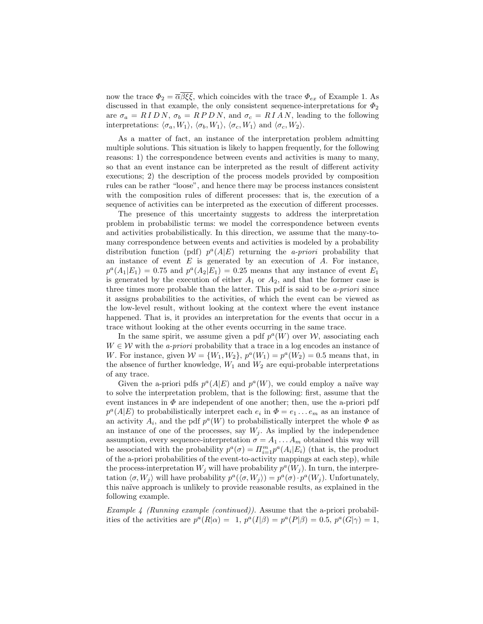now the trace  $\Phi_2 = \overline{\alpha} \beta \xi \xi$ , which coincides with the trace  $\Phi_{ex}$  of Example 1. As discussed in that example, the only consistent sequence-interpretations for  $\Phi_2$ are  $\sigma_a = R I D N$ ,  $\sigma_b = R P D N$ , and  $\sigma_c = R I A N$ , leading to the following interpretations:  $\langle \sigma_a, W_1 \rangle$ ,  $\langle \sigma_b, W_1 \rangle$ ,  $\langle \sigma_c, W_1 \rangle$  and  $\langle \sigma_c, W_2 \rangle$ .

As a matter of fact, an instance of the interpretation problem admitting multiple solutions. This situation is likely to happen frequently, for the following reasons: 1) the correspondence between events and activities is many to many, so that an event instance can be interpreted as the result of different activity executions; 2) the description of the process models provided by composition rules can be rather "loose", and hence there may be process instances consistent with the composition rules of different processes: that is, the execution of a sequence of activities can be interpreted as the execution of different processes.

The presence of this uncertainty suggests to address the interpretation problem in probabilistic terms: we model the correspondence between events and activities probabilistically. In this direction, we assume that the many-tomany correspondence between events and activities is modeled by a probability distribution function (pdf)  $p^a(A|E)$  returning the *a-priori* probability that an instance of event  $E$  is generated by an execution of  $A$ . For instance,  $p^a(A_1|E_1) = 0.75$  and  $p^a(A_2|E_1) = 0.25$  means that any instance of event  $E_1$ is generated by the execution of either  $A_1$  or  $A_2$ , and that the former case is three times more probable than the latter. This pdf is said to be *a-priori* since it assigns probabilities to the activities, of which the event can be viewed as the low-level result, without looking at the context where the event instance happened. That is, it provides an interpretation for the events that occur in a trace without looking at the other events occurring in the same trace.

In the same spirit, we assume given a pdf  $p^a(W)$  over W, associating each  $W \in \mathcal{W}$  with the *a-priori* probability that a trace in a log encodes an instance of W. For instance, given  $W = \{W_1, W_2\}$ ,  $p^a(W_1) = p^a(W_2) = 0.5$  means that, in the absence of further knowledge,  $W_1$  and  $W_2$  are equi-probable interpretations of any trace.

Given the a-priori pdfs  $p^a(A|E)$  and  $p^a(W)$ , we could employ a naïve way to solve the interpretation problem, that is the following: first, assume that the event instances in  $\Phi$  are independent of one another; then, use the a-priori pdf  $p^a(A|E)$  to probabilistically interpret each  $e_i$  in  $\Phi = e_1 \dots e_m$  as an instance of an activity  $A_i$ , and the pdf  $p^a(W)$  to probabilistically interpret the whole  $\Phi$  as an instance of one of the processes, say  $W_j$ . As implied by the independence assumption, every sequence-interpretation  $\sigma = A_1 \dots A_m$  obtained this way will be associated with the probability  $p^a(\sigma) = \prod_{i=1}^m p^a(A_i|E_i)$  (that is, the product of the a-priori probabilities of the event-to-activity mappings at each step), while the process-interpretation  $W_j$  will have probability  $p^a(W_j)$ . In turn, the interpretation  $\langle \sigma, W_j \rangle$  will have probability  $p^a(\langle \sigma, W_j \rangle) = p^a(\sigma) \cdot p^a(W_j)$ . Unfortunately, this na¨ıve approach is unlikely to provide reasonable results, as explained in the following example.

*Example 4 (Running example (continued)).* Assume that the a-priori probabilities of the activities are  $p^a(R|\alpha) = 1$ ,  $p^a(I|\beta) = p^a(P|\beta) = 0.5$ ,  $p^a(G|\gamma) = 1$ ,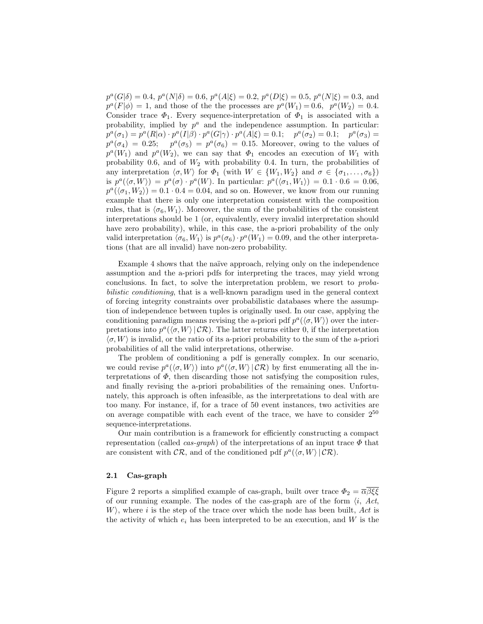$p^a(G|\delta) = 0.4$ ,  $p^a(N|\delta) = 0.6$ ,  $p^a(A|\xi) = 0.2$ ,  $p^a(D|\xi) = 0.5$ ,  $p^a(N|\xi) = 0.3$ , and  $p^{a}(F|\phi) = 1$ , and those of the the processes are  $p^{a}(W_1) = 0.6, p^{a}(W_2) = 0.4$ . Consider trace  $\Phi_1$ . Every sequence-interpretation of  $\Phi_1$  is associated with a probability, implied by  $p^a$  and the independence assumption. In particular:  $p^{a}(\sigma_1) = p^{a}(R|\alpha) \cdot p^{a}(I|\beta) \cdot p^{a}(G|\gamma) \cdot p^{a}(A|\xi) = 0.1; \quad p^{a}(\sigma_2) = 0.1; \quad p^{a}(\sigma_3) =$  $p^a(\sigma_4) = 0.25; \quad p^a(\sigma_5) = p^a(\sigma_6) = 0.15.$  Moreover, owing to the values of  $p^a(W_1)$  and  $p^a(W_2)$ , we can say that  $\Phi_1$  encodes an execution of  $W_1$  with probability 0.6, and of  $W_2$  with probability 0.4. In turn, the probabilities of any interpretation  $\langle \sigma, W \rangle$  for  $\Phi_1$  (with  $W \in \{W_1, W_2\}$  and  $\sigma \in \{\sigma_1, \ldots, \sigma_6\}$ ) is  $p^a(\langle \sigma, W \rangle) = p^a(\sigma) \cdot p^a(W)$ . In particular:  $p^a(\langle \sigma_1, W_1 \rangle) = 0.1 \cdot 0.6 = 0.06$ ,  $p^a(\langle \sigma_1, W_2 \rangle) = 0.1 \cdot 0.4 = 0.04$ , and so on. However, we know from our running example that there is only one interpretation consistent with the composition rules, that is  $\langle \sigma_6, W_1 \rangle$ . Moreover, the sum of the probabilities of the consistent interpretations should be 1 (or, equivalently, every invalid interpretation should have zero probability), while, in this case, the a-priori probability of the only valid interpretation  $\langle \sigma_6, W_1 \rangle$  is  $p^a(\sigma_6) \cdot p^a(W_1) = 0.09$ , and the other interpretations (that are all invalid) have non-zero probability.

Example 4 shows that the naïve approach, relying only on the independence assumption and the a-priori pdfs for interpreting the traces, may yield wrong conclusions. In fact, to solve the interpretation problem, we resort to *probabilistic conditioning*, that is a well-known paradigm used in the general context of forcing integrity constraints over probabilistic databases where the assumption of independence between tuples is originally used. In our case, applying the conditioning paradigm means revising the a-priori pdf  $p^a(\langle \sigma, W \rangle)$  over the interpretations into  $p^a(\langle \sigma, W \rangle | \mathcal{CR})$ . The latter returns either 0, if the interpretation  $\langle \sigma, W \rangle$  is invalid, or the ratio of its a-priori probability to the sum of the a-priori probabilities of all the valid interpretations, otherwise.

The problem of conditioning a pdf is generally complex. In our scenario, we could revise  $p^a(\langle \sigma, W \rangle)$  into  $p^a(\langle \sigma, W \rangle | \mathcal{CR})$  by first enumerating all the interpretations of  $\Phi$ , then discarding those not satisfying the composition rules, and finally revising the a-priori probabilities of the remaining ones. Unfortunately, this approach is often infeasible, as the interpretations to deal with are too many. For instance, if, for a trace of 50 event instances, two activities are on average compatible with each event of the trace, we have to consider  $2^{50}$ sequence-interpretations.

Our main contribution is a framework for efficiently constructing a compact representation (called  $cas\text{-}graph$ ) of the interpretations of an input trace  $\Phi$  that are consistent with  $\mathcal{CR}$ , and of the conditioned pdf  $p^a(\langle \sigma, W \rangle | \mathcal{CR})$ .

#### 2.1 Cas-graph

Figure 2 reports a simplified example of cas-graph, built over trace  $\Phi_2 = \overline{\alpha \beta \xi \xi}$ of our running example. The nodes of the cas-graph are of the form  $\langle i, Act,$  $W$ , where i is the step of the trace over which the node has been built, Act is the activity of which  $e_i$  has been interpreted to be an execution, and W is the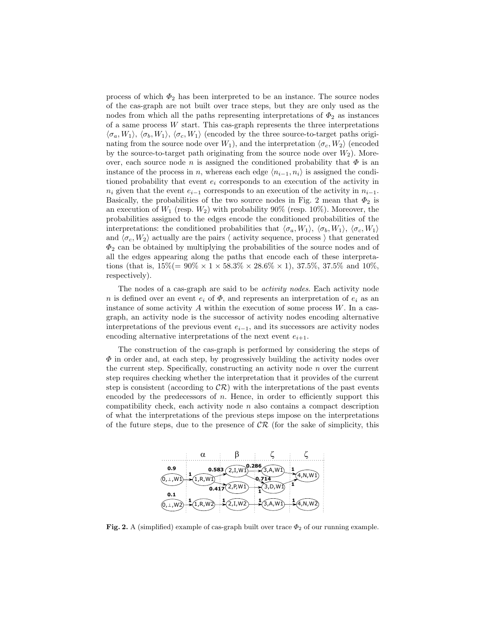process of which  $\Phi_2$  has been interpreted to be an instance. The source nodes of the cas-graph are not built over trace steps, but they are only used as the nodes from which all the paths representing interpretations of  $\Phi_2$  as instances of a same process  $W$  start. This cas-graph represents the three interpretations  $\langle \sigma_a, W_1 \rangle$ ,  $\langle \sigma_b, W_1 \rangle$ ,  $\langle \sigma_c, W_1 \rangle$  (encoded by the three source-to-target paths originating from the source node over  $W_1$ ), and the interpretation  $\langle \sigma_c, W_2 \rangle$  (encoded by the source-to-target path originating from the source node over  $W_2$ ). Moreover, each source node n is assigned the conditioned probability that  $\Phi$  is an instance of the process in n, whereas each edge  $\langle n_{i-1}, n_i \rangle$  is assigned the conditioned probability that event  $e_i$  corresponds to an execution of the activity in  $n_i$  given that the event  $e_{i-1}$  corresponds to an execution of the activity in  $n_{i-1}$ . Basically, the probabilities of the two source nodes in Fig. 2 mean that  $\Phi_2$  is an execution of  $W_1$  (resp.  $W_2$ ) with probability 90% (resp. 10%). Moreover, the probabilities assigned to the edges encode the conditioned probabilities of the interpretations: the conditioned probabilities that  $\langle \sigma_a, W_1 \rangle$ ,  $\langle \sigma_b, W_1 \rangle$ ,  $\langle \sigma_c, W_1 \rangle$ and  $\langle \sigma_c, W_2 \rangle$  actually are the pairs  $\langle$  activity sequence, process  $\rangle$  that generated  $\Phi_2$  can be obtained by multiplying the probabilities of the source nodes and of all the edges appearing along the paths that encode each of these interpretations (that is,  $15\% (= 90\% \times 1 \times 58.3\% \times 28.6\% \times 1)$ ,  $37.5\%$ ,  $37.5\%$  and  $10\%$ , respectively).

The nodes of a cas-graph are said to be *activity nodes*. Each activity node n is defined over an event  $e_i$  of  $\Phi$ , and represents an interpretation of  $e_i$  as an instance of some activity  $A$  within the execution of some process  $W$ . In a casgraph, an activity node is the successor of activity nodes encoding alternative interpretations of the previous event  $e_{i-1}$ , and its successors are activity nodes encoding alternative interpretations of the next event  $e_{i+1}$ .

The construction of the cas-graph is performed by considering the steps of  $\Phi$  in order and, at each step, by progressively building the activity nodes over the current step. Specifically, constructing an activity node  $n$  over the current step requires checking whether the interpretation that it provides of the current step is consistent (according to  $\mathcal{CR}$ ) with the interpretations of the past events encoded by the predecessors of  $n$ . Hence, in order to efficiently support this compatibility check, each activity node  $n$  also contains a compact description of what the interpretations of the previous steps impose on the interpretations of the future steps, due to the presence of  $\mathcal{CR}$  (for the sake of simplicity, this



Fig. 2. A (simplified) example of cas-graph built over trace  $\Phi_2$  of our running example.